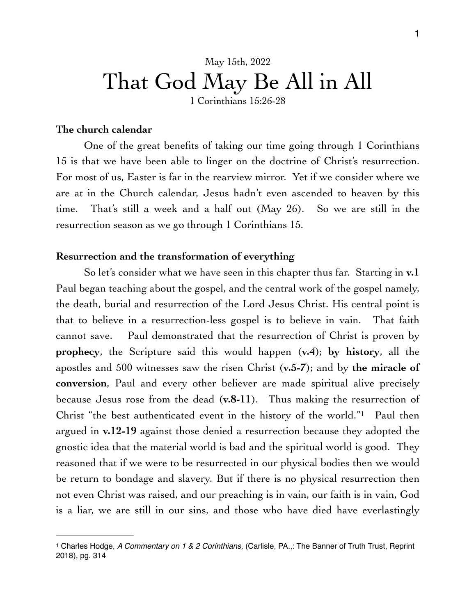# May 15th, 2022 That God May Be All in All

1 Corinthians 15:26-28

### **The church calendar**

One of the great benefits of taking our time going through 1 Corinthians 15 is that we have been able to linger on the doctrine of Christ's resurrection. For most of us, Easter is far in the rearview mirror. Yet if we consider where we are at in the Church calendar, Jesus hadn't even ascended to heaven by this time. That's still a week and a half out (May 26). So we are still in the resurrection season as we go through 1 Corinthians 15.

### **Resurrection and the transformation of everything**

So let's consider what we have seen in this chapter thus far. Starting in **v.1**  Paul began teaching about the gospel, and the central work of the gospel namely, the death, burial and resurrection of the Lord Jesus Christ. His central point is that to believe in a resurrection-less gospel is to believe in vain. That faith cannot save. Paul demonstrated that the resurrection of Christ is proven by **prophecy**, the Scripture said this would happen (**v.4**); **by history**, all the apostles and 500 witnesses saw the risen Christ (**v.5-7**); and by **the miracle of conversion**, Paul and every other believer are made spiritual alive precisely because Jesus rose from the dead (**v.8-11**). Thus making the resurrection of Christ "the best authenticated event in the history of the world."<sup>[1](#page-0-0)</sup> Paul then argued in **v.12-19** against those denied a resurrection because they adopted the gnostic idea that the material world is bad and the spiritual world is good. They reasoned that if we were to be resurrected in our physical bodies then we would be return to bondage and slavery. But if there is no physical resurrection then not even Christ was raised, and our preaching is in vain, our faith is in vain, God is a liar, we are still in our sins, and those who have died have everlastingly

<span id="page-0-1"></span><span id="page-0-0"></span>Charles Hodge, *A Commentary on 1 & 2 Corinthians,* (Carlisle, PA.,: The Banner of Truth Trust, Reprint [1](#page-0-1) 2018), pg. 314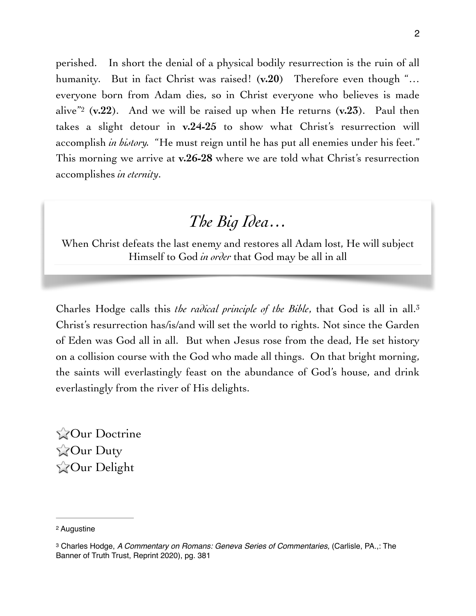<span id="page-1-2"></span>perished. In short the denial of a physical bodily resurrection is the ruin of all humanity. But in fact Christ was raised! (**v.20**) Therefore even though "… everyone born from Adam dies, so in Christ everyone who believes is made alive<sup>["](#page-1-0)2</sup> ( $v.22$ ). And we will be raised up when He returns  $(v.23)$ . Paul then takes a slight detour in **v.24-25** to show what Christ's resurrection will accomplish *in history.* "He must reign until he has put all enemies under his feet." This morning we arrive at **v.26-28** where we are told what Christ's resurrection accomplishes *in eternity*.

## <span id="page-1-3"></span>*The Big Idea…*

When Christ defeats the last enemy and restores all Adam lost, He will subject Himself to God *in order* that God may be all in all

Charles Hodge calls this *the radical principle of the Bible*, that God is all in all[.3](#page-1-1) Christ's resurrection has/is/and will set the world to rights. Not since the Garden of Eden was God all in all. But when Jesus rose from the dead, He set history on a collision course with the God who made all things. On that bright morning, the saints will everlastingly feast on the abundance of God's house, and drink everlastingly from the river of His delights.

**Our Doctrine Cour Duty Our Delight** 

<span id="page-1-0"></span>[<sup>2</sup>](#page-1-2) Augustine

<span id="page-1-1"></span><sup>&</sup>lt;sup>[3](#page-1-3)</sup> Charles Hodge, *A Commentary on Romans: Geneva Series of Commentaries, (Carlisle, PA.,: The* Banner of Truth Trust, Reprint 2020), pg. 381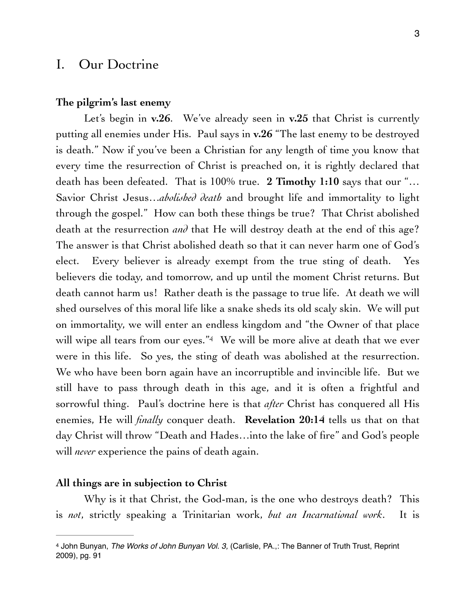### I. Our Doctrine

### **The pilgrim's last enemy**

Let's begin in **v.26**. We've already seen in **v.25** that Christ is currently putting all enemies under His. Paul says in **v.26** "The last enemy to be destroyed is death." Now if you've been a Christian for any length of time you know that every time the resurrection of Christ is preached on, it is rightly declared that death has been defeated. That is 100% true. **2 Timothy 1:10** says that our "… Savior Christ Jesus...*abolished death* and brought life and immortality to light through the gospel." How can both these things be true? That Christ abolished death at the resurrection *and* that He will destroy death at the end of this age? The answer is that Christ abolished death so that it can never harm one of God's elect. Every believer is already exempt from the true sting of death. Yes believers die today, and tomorrow, and up until the moment Christ returns. But death cannot harm us! Rather death is the passage to true life. At death we will shed ourselves of this moral life like a snake sheds its old scaly skin. We will put on immortality, we will enter an endless kingdom and "the Owner of that place will wipe all tears from our eyes."<sup>[4](#page-2-0)</sup> We will be more alive at death that we ever were in this life. So yes, the sting of death was abolished at the resurrection. We who have been born again have an incorruptible and invincible life. But we still have to pass through death in this age, and it is often a frightful and sorrowful thing. Paul's doctrine here is that *after* Christ has conquered all His enemies, He will *finally* conquer death. **Revelation 20:14** tells us that on that day Christ will throw "Death and Hades…into the lake of fire" and God's people will *never* experience the pains of death again.

### <span id="page-2-1"></span>**All things are in subjection to Christ**

Why is it that Christ, the God-man, is the one who destroys death? This is *not*, strictly speaking a Trinitarian work, *but an Incarnational work*. It is

<span id="page-2-0"></span>[<sup>4</sup>](#page-2-1) John Bunyan, *The Works of John Bunyan Vol. 3,* (Carlisle, PA.,: The Banner of Truth Trust, Reprint 2009), pg. 91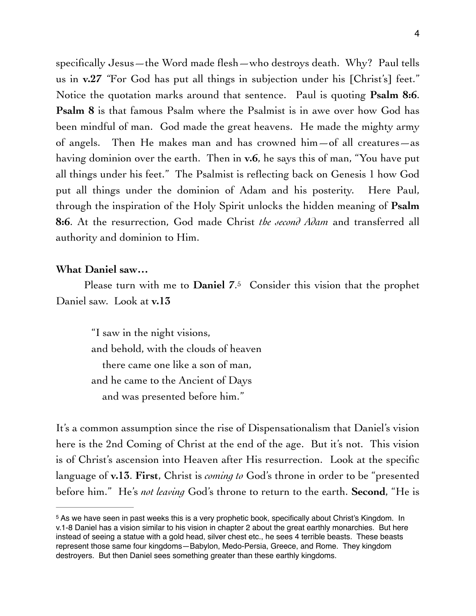specifically Jesus—the Word made flesh—who destroys death. Why? Paul tells us in **v.27** *"*For God has put all things in subjection under his [Christ's] feet." Notice the quotation marks around that sentence. Paul is quoting **Psalm 8:6**. **Psalm 8** is that famous Psalm where the Psalmist is in awe over how God has been mindful of man. God made the great heavens. He made the mighty army of angels. Then He makes man and has crowned him—of all creatures—as having dominion over the earth. Then in **v.6**, he says this of man, "You have put all things under his feet." The Psalmist is reflecting back on Genesis 1 how God put all things under the dominion of Adam and his posterity. Here Paul, through the inspiration of the Holy Spirit unlocks the hidden meaning of **Psalm 8:6**. At the resurrection, God made Christ *the second Adam* and transferred all authority and dominion to Him.

### **What Daniel saw…**

Please turn with me to **Daniel** 7[.](#page-3-0)<sup>[5](#page-3-0)</sup> Consider this vision that the prophet Daniel saw. Look at **v.13**

<span id="page-3-1"></span>"I saw in the night visions, and behold, with the clouds of heaven there came one like a son of man, and he came to the Ancient of Days and was presented before him."

It's a common assumption since the rise of Dispensationalism that Daniel's vision here is the 2nd Coming of Christ at the end of the age. But it's not. This vision is of Christ's ascension into Heaven after His resurrection. Look at the specific language of **v.13**. **First**, Christ is *coming to* God's throne in order to be "presented before him." He's *not leaving* God's throne to return to the earth. **Second**, "He is

<span id="page-3-0"></span><sup>&</sup>lt;sup>5</sup>As we have seen in past weeks this is a very prophetic book, specifically about Christ's Kingdom. In v.1-8 Daniel has a vision similar to his vision in chapter 2 about the great earthly monarchies. But here instead of seeing a statue with a gold head, silver chest etc., he sees 4 terrible beasts. These beasts represent those same four kingdoms—Babylon, Medo-Persia, Greece, and Rome. They kingdom destroyers. But then Daniel sees something greater than these earthly kingdoms.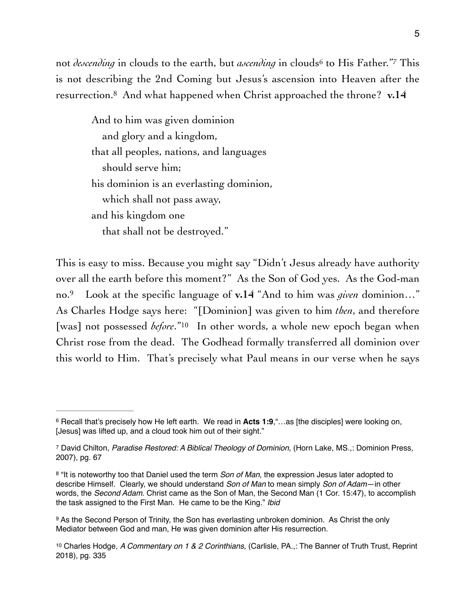not*descending* in clouds to the earth, but *ascending* in clouds<sup>[6](#page-4-0)</sup> to His Father."<sup>7</sup> This is not describing the 2nd Coming but Jesus's ascension into Heaven after the resurrection[.8](#page-4-2) And what happened when Christ approached the throne? **v.14**

<span id="page-4-7"></span><span id="page-4-6"></span><span id="page-4-5"></span>And to him was given dominion and glory and a kingdom, that all peoples, nations, and languages should serve him; his dominion is an everlasting dominion, which shall not pass away, and his kingdom one that shall not be destroyed."

<span id="page-4-9"></span><span id="page-4-8"></span>This is easy to miss. Because you might say "Didn't Jesus already have authority over all the earth before this moment?" As the Son of God yes. As the God-man no.<sup>9</sup> Look at the specific language of **v.14** "And to him was *given* dominion..." As Charles Hodge says here: "[Dominion] was given to him *then*, and therefore [was] not possessed *before*.["](#page-4-4)<sup>[10](#page-4-4)</sup> In other words, a whole new epoch began when Christ rose from the dead. The Godhead formally transferred all dominion over this world to Him. That's precisely what Paul means in our verse when he says

<span id="page-4-0"></span><sup>&</sup>lt;sup>[6](#page-4-5)</sup> Recall that's precisely how He left earth. We read in Acts 1:9,"...as [the disciples] were looking on, [Jesus] was lifted up, and a cloud took him out of their sight."

<span id="page-4-1"></span>David Chilton, *Paradise Restored: A Biblical Theology of Dominion,* (Horn Lake, MS.,: Dominion Press, [7](#page-4-6) 2007), pg. 67

<span id="page-4-2"></span><sup>&</sup>lt;sup>[8](#page-4-7)</sup> "It is noteworthy too that Daniel used the term *Son of Man*, the expression Jesus later adopted to describe Himself. Clearly, we should understand *Son of Man* to mean simply *Son of Adam*—in other words, the *Second Adam*. Christ came as the Son of Man, the Second Man (1 Cor. 15:47), to accomplish the task assigned to the First Man. He came to be the King." *Ibid*

<span id="page-4-3"></span><sup>9</sup>As the Second Person of Trinity, the Son has everlasting unbroken dominion. As Christ the only Mediator between God and man, He was given dominion after His resurrection.

<span id="page-4-4"></span><sup>&</sup>lt;sup>[10](#page-4-9)</sup> Charles Hodge, *A Commentary on 1 & 2 Corinthians*, (Carlisle, PA.,: The Banner of Truth Trust, Reprint 2018), pg. 335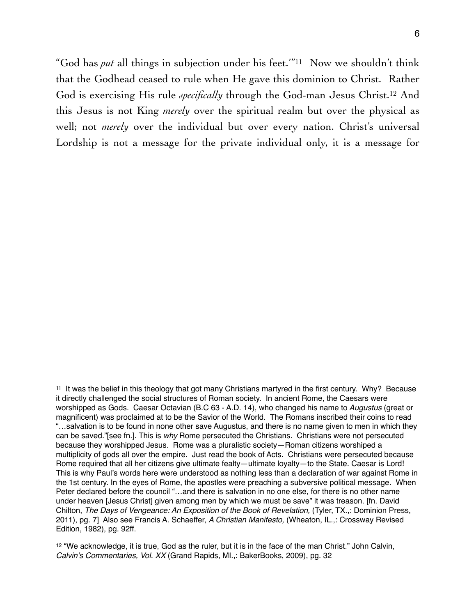<span id="page-5-3"></span><span id="page-5-2"></span>"God has *put* all things in subjection under his feet."<sup>[11](#page-5-0)</sup> Now we shouldn't think that the Godhead ceased to rule when He gave this dominion to Christ. Rather God is exercising His rule *specifically* through the God-man Jesus Christ.<sup>[12](#page-5-1)</sup> And this Jesus is not King *merely* over the spiritual realm but over the physical as well; not *merely* over the individual but over every nation. Christ's universal Lordship is not a message for the private individual only, it is a message for

<span id="page-5-0"></span><sup>&</sup>lt;sup>11</sup>It was the belief in this theology that got many Christians martyred in the first century. Why? Because it directly challenged the social structures of Roman society. In ancient Rome, the Caesars were worshipped as Gods. Caesar Octavian (B.C 63 - A.D. 14), who changed his name to *Augustus* (great or magnificent) was proclaimed at to be the Savior of the World. The Romans inscribed their coins to read "…salvation is to be found in none other save Augustus, and there is no name given to men in which they can be saved."[see fn.]. This is *why* Rome persecuted the Christians. Christians were not persecuted because they worshipped Jesus. Rome was a pluralistic society—Roman citizens worshiped a multiplicity of gods all over the empire. Just read the book of Acts. Christians were persecuted because Rome required that all her citizens give ultimate fealty—ultimate loyalty—to the State. Caesar is Lord! This is why Paul's words here were understood as nothing less than a declaration of war against Rome in the 1st century. In the eyes of Rome, the apostles were preaching a subversive political message. When Peter declared before the council "…and there is salvation in no one else, for there is no other name under heaven [Jesus Christ] given among men by which we must be save" it was treason. [fn. David Chilton, *The Days of Vengeance: An Exposition of the Book of Revelation,* (Tyler, TX.,: Dominion Press, 2011), pg. 7] Also see Francis A. Schaeffer, *A Christian Manifesto,* (Wheaton, IL.,: Crossway Revised Edition, 1982), pg. 92ff.

<span id="page-5-1"></span> $12$  "We acknowledge, it is true, God as the ruler, but it is in the face of the man Christ." John Calvin, *Calvin's Commentaries, Vol. XX* (Grand Rapids, MI.,: BakerBooks, 2009), pg. 32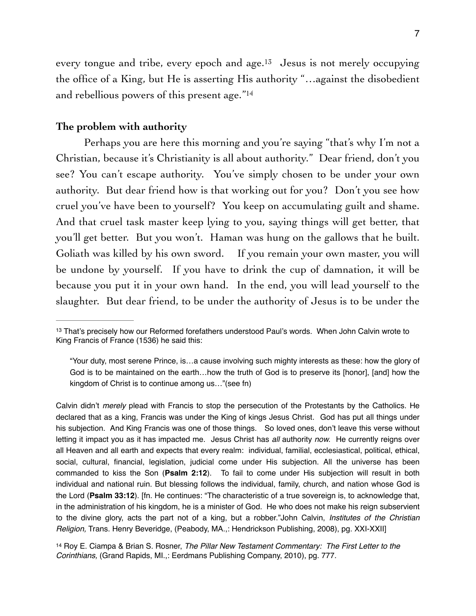<span id="page-6-3"></span><span id="page-6-2"></span>every tongue and tribe, every epoch and age.<sup>[13](#page-6-0)</sup> Jesus is not merely occupying the office of a King, but He is asserting His authority "…against the disobedient and rebellious powers of this present age."[14](#page-6-1)

### **The problem with authority**

Perhaps you are here this morning and you're saying "that's why I'm not a Christian, because it's Christianity is all about authority." Dear friend, don't you see? You can't escape authority. You've simply chosen to be under your own authority. But dear friend how is that working out for you? Don't you see how cruel you've have been to yourself? You keep on accumulating guilt and shame. And that cruel task master keep lying to you, saying things will get better, that you'll get better. But you won't. Haman was hung on the gallows that he built. Goliath was killed by his own sword. If you remain your own master, you will be undone by yourself. If you have to drink the cup of damnation, it will be because you put it in your own hand. In the end, you will lead yourself to the slaughter. But dear friend, to be under the authority of Jesus is to be under the

Calvin didn't *merely* plead with Francis to stop the persecution of the Protestants by the Catholics. He declared that as a king, Francis was under the King of kings Jesus Christ. God has put all things under his subjection. And King Francis was one of those things. So loved ones, don't leave this verse without letting it impact you as it has impacted me. Jesus Christ has *all* authority *now.* He currently reigns over all Heaven and all earth and expects that every realm: individual, familial, ecclesiastical, political, ethical, social, cultural, financial, legislation, judicial come under His subjection. All the universe has been commanded to kiss the Son (**Psalm 2:12**). To fail to come under His subjection will result in both individual and national ruin. But blessing follows the individual, family, church, and nation whose God is the Lord (**Psalm 33:12**). [fn. He continues: "The characteristic of a true sovereign is, to acknowledge that, in the administration of his kingdom, he is a minister of God. He who does not make his reign subservient to the divine glory, acts the part not of a king, but a robber."John Calvin, *Institutes of the Christian Religion,* Trans. Henry Beveridge, (Peabody, MA.,: Hendrickson Publishing, 2008), pg. XXI-XXII]

<span id="page-6-1"></span><sup>[14](#page-6-3)</sup> Roy E. Ciampa & Brian S. Rosner, *The Pillar New Testament Commentary: The First Letter to the Corinthians,* (Grand Rapids, MI.,: Eerdmans Publishing Company, 2010), pg. 777.

<span id="page-6-0"></span><sup>&</sup>lt;sup>[13](#page-6-2)</sup> That's precisely how our Reformed forefathers understood Paul's words. When John Calvin wrote to King Francis of France (1536) he said this:

<sup>&</sup>quot;Your duty, most serene Prince, is…a cause involving such mighty interests as these: how the glory of God is to be maintained on the earth…how the truth of God is to preserve its [honor], [and] how the kingdom of Christ is to continue among us…"(see fn)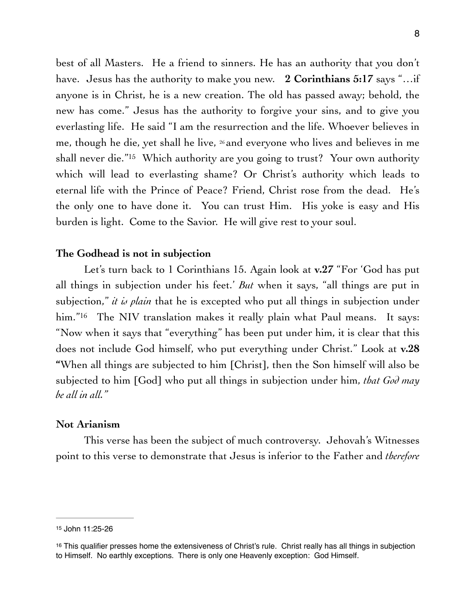<span id="page-7-2"></span>best of all Masters. He a friend to sinners. He has an authority that you don't have. Jesus has the authority to make you new. **2 Corinthians 5:17** says "…if anyone is in Christ, he is a new creation. The old has passed away; behold, the new has come." Jesus has the authority to forgive your sins, and to give you everlasting life. He said "I am the resurrection and the life. Whoever believes in me, though he die, yet shall he live, 26 and everyone who lives and believes in me shall never die."<sup>[15](#page-7-0)</sup> Which authority are you going to trust? Your own authority which will lead to everlasting shame? Or Christ's authority which leads to eternal life with the Prince of Peace? Friend, Christ rose from the dead. He's the only one to have done it. You can trust Him. His yoke is easy and His burden is light. Come to the Savior. He will give rest to your soul.

### **The Godhead is not in subjection**

<span id="page-7-3"></span>Let's turn back to 1 Corinthians 15. Again look at **v.27** "For 'God has put all things in subjection under his feet.' *But* when it says, "all things are put in subjection," *it is plain* that he is excepted who put all things in subjection under him."<sup>[16](#page-7-1)</sup> The NIV translation makes it really plain what Paul means. It says: "Now when it says that "everything" has been put under him, it is clear that this does not include God himself, who put everything under Christ." Look at **v.28 "**When all things are subjected to him [Christ], then the Son himself will also be subjected to him [God] who put all things in subjection under him, *that God may be all in all."*

### **Not Arianism**

This verse has been the subject of much controversy. Jehovah's Witnesses point to this verse to demonstrate that Jesus is inferior to the Father and *therefore* 

<span id="page-7-0"></span>[<sup>15</sup>](#page-7-2) John 11:25-26

<span id="page-7-1"></span> $16$  This qualifier presses home the extensiveness of Christ's rule. Christ really has all things in subjection to Himself. No earthly exceptions. There is only one Heavenly exception: God Himself.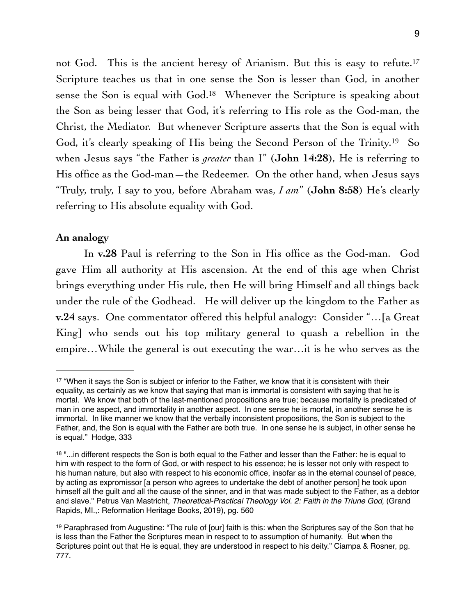<span id="page-8-5"></span><span id="page-8-4"></span><span id="page-8-3"></span>not God. This is the ancient heresy of Arianism. But this is easy to refute.<sup>[17](#page-8-0)</sup> Scripture teaches us that in one sense the Son is lesser than God, in another sensethe Son is equal with  $God.^{18}$  $God.^{18}$  $God.^{18}$  Whenever the Scripture is speaking about the Son as being lesser that God, it's referring to His role as the God-man, the Christ, the Mediator. But whenever Scripture asserts that the Son is equal with God, it's clearly speaking of His being the Second Person of the Trinity.<sup>[19](#page-8-2)</sup> So when Jesus says "the Father is *greater* than I" (**John 14:28**), He is referring to His office as the God-man—the Redeemer. On the other hand, when Jesus says "Truly, truly, I say to you, before Abraham was, *I am*" (**John 8:58**) He's clearly referring to His absolute equality with God.

### **An analogy**

In **v.28** Paul is referring to the Son in His office as the God-man. God gave Him all authority at His ascension. At the end of this age when Christ brings everything under His rule, then He will bring Himself and all things back under the rule of the Godhead. He will deliver up the kingdom to the Father as **v.24** says. One commentator offered this helpful analogy: Consider "…[a Great King] who sends out his top military general to quash a rebellion in the empire…While the general is out executing the war…it is he who serves as the

<span id="page-8-0"></span><sup>&</sup>lt;sup>[17](#page-8-3)</sup> "When it says the Son is subject or inferior to the Father, we know that it is consistent with their equality, as certainly as we know that saying that man is immortal is consistent with saying that he is mortal. We know that both of the last-mentioned propositions are true; because mortality is predicated of man in one aspect, and immortality in another aspect. In one sense he is mortal, in another sense he is immortal. In like manner we know that the verbally inconsistent propositions, the Son is subject to the Father, and, the Son is equal with the Father are both true. In one sense he is subject, in other sense he is equal." Hodge, 333

<span id="page-8-1"></span><sup>&</sup>lt;sup>[18](#page-8-4)</sup> "...in different respects the Son is both equal to the Father and lesser than the Father: he is equal to him with respect to the form of God, or with respect to his essence; he is lesser not only with respect to his human nature, but also with respect to his economic office, insofar as in the eternal counsel of peace, by acting as expromissor [a person who agrees to undertake the debt of another person] he took upon himself all the guilt and all the cause of the sinner, and in that was made subject to the Father, as a debtor and slave." Petrus Van Mastricht, *Theoretical-Practical Theology Vol. 2: Faith in the Triune God,* (Grand Rapids, MI.,: Reformation Heritage Books, 2019), pg. 560

<span id="page-8-2"></span><sup>&</sup>lt;sup>[19](#page-8-5)</sup> Paraphrased from Augustine: "The rule of [our] faith is this: when the Scriptures say of the Son that he is less than the Father the Scriptures mean in respect to to assumption of humanity. But when the Scriptures point out that He is equal, they are understood in respect to his deity." Ciampa & Rosner, pg. 777.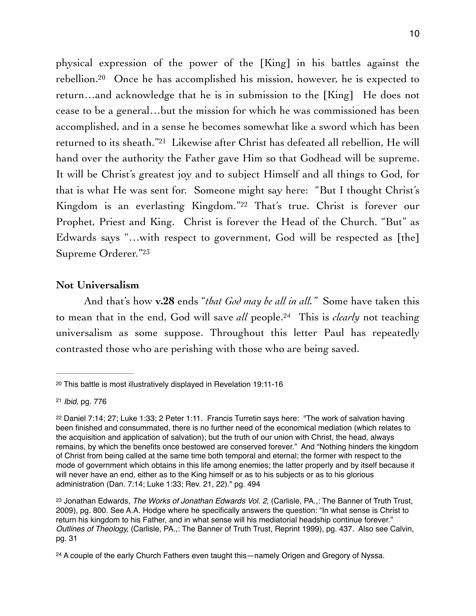<span id="page-9-6"></span><span id="page-9-5"></span>physical expression of the power of the [King] in his battles against the rebellion.<sup>[20](#page-9-0)</sup> Once he has accomplished his mission, however, he is expected to return…and acknowledge that he is in submission to the [King] He does not cease to be a general…but the mission for which he was commissioned has been accomplished, and in a sense he becomes somewhat like a sword which has been returned to its sheath."<sup>[21](#page-9-1)</sup> Likewise after Christ has defeated all rebellion, He will hand over the authority the Father gave Him so that Godhead will be supreme. It will be Christ's greatest joy and to subject Himself and all things to God, for that is what He was sent for. Someone might say here: "But I thought Christ's Kingdom is an everlasting Kingdom."<sup>[22](#page-9-2)</sup> That's true. Christ is forever our Prophet, Priest and King. Christ is forever the Head of the Church. "But" as Edwards says "…with respect to government, God will be respected as [the] Supreme Orderer."23

### <span id="page-9-8"></span><span id="page-9-7"></span>**Not Universalism**

<span id="page-9-9"></span>And that's how **v.28** ends "*that God may be all in all."* Some have taken this to mean that in the end, God will save *all* people.<sup>24</sup> This is *clearly* not teaching universalism as some suppose. Throughout this letter Paul has repeatedly contrasted those who are perishing with those who are being saved.

<span id="page-9-0"></span>[<sup>20</sup>](#page-9-5) This battle is most illustratively displayed in Revelation 19:11-16

<span id="page-9-1"></span>[<sup>21</sup>](#page-9-6) *Ibid,* pg. 776

<span id="page-9-2"></span> $22$  Daniel 7:14; 27; Luke 1:33; 2 Peter 1:11. Francis Turretin says here: "The work of salvation having been finished and consummated, there is no further need of the economical mediation (which relates to the acquisition and application of salvation); but the truth of our union with Christ, the head, always remains, by which the benefits once bestowed are conserved forever." And "Nothing hinders the kingdom of Christ from being called at the same time both temporal and eternal; the former with respect to the mode of government which obtains in this life among enemies; the latter properly and by itself because it will never have an end, either as to the King himself or as to his subjects or as to his glorious administration (Dan. 7:14; Luke 1:33; Rev. 21, 22)." pg. 494

<span id="page-9-3"></span><sup>&</sup>lt;sup>[23](#page-9-8)</sup> Jonathan Edwards, *The Works of Jonathan Edwards Vol. 2*, (Carlisle, PA.,: The Banner of Truth Trust, 2009), pg. 800. See A.A. Hodge where he specifically answers the question: "In what sense is Christ to return his kingdom to his Father, and in what sense will his mediatorial headship continue forever." *Outlines of Theology,* (Carlisle, PA.,: The Banner of Truth Trust, Reprint 1999), pg. 437. Also see Calvin, pg. 31

<span id="page-9-4"></span> $24$  A couple of the early Church Fathers even taught this—namely Origen and Gregory of Nyssa.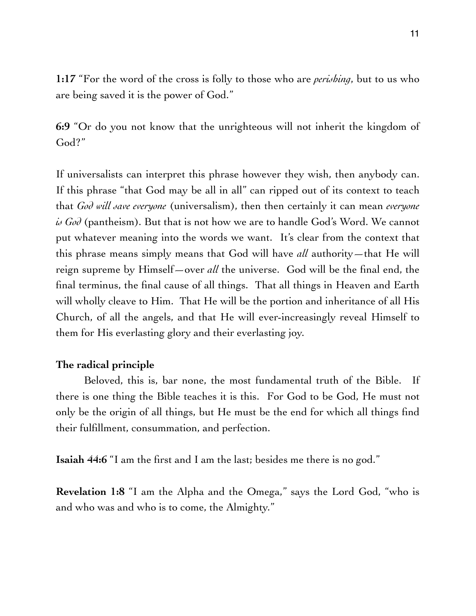**1:17** "For the word of the cross is folly to those who are *perishing*, but to us who are being saved it is the power of God."

**6:9** "Or do you not know that the unrighteous will not inherit the kingdom of God?"

If universalists can interpret this phrase however they wish, then anybody can. If this phrase "that God may be all in all" can ripped out of its context to teach that *God will save everyone* (universalism), then then certainly it can mean *everyone is God* (pantheism). But that is not how we are to handle God's Word. We cannot put whatever meaning into the words we want. It's clear from the context that this phrase means simply means that God will have *all* authority—that He will reign supreme by Himself—over *all* the universe. God will be the final end, the final terminus, the final cause of all things. That all things in Heaven and Earth will wholly cleave to Him. That He will be the portion and inheritance of all His Church, of all the angels, and that He will ever-increasingly reveal Himself to them for His everlasting glory and their everlasting joy.

### **The radical principle**

Beloved, this is, bar none, the most fundamental truth of the Bible. If there is one thing the Bible teaches it is this. For God to be God, He must not only be the origin of all things, but He must be the end for which all things find their fulfillment, consummation, and perfection.

**Isaiah 44:6** "I am the first and I am the last; besides me there is no god."

**Revelation 1:8** "I am the Alpha and the Omega," says the Lord God, "who is and who was and who is to come, the Almighty."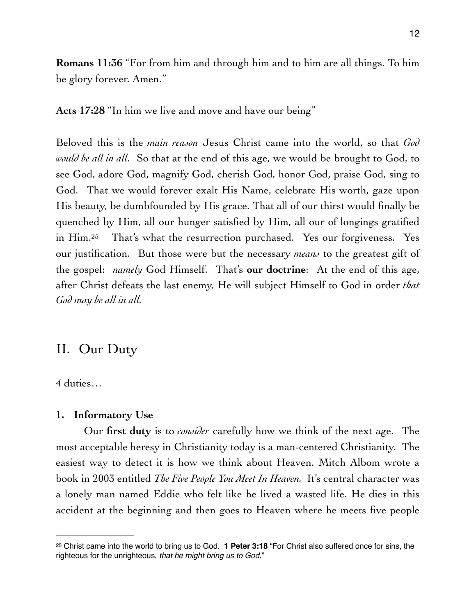**Romans 11:36** "For from him and through him and to him are all things. To him be glory forever. Amen."

**Acts 17:28** "In him we live and move and have our being"

<span id="page-11-1"></span>Beloved this is the *main reason* Jesus Christ came into the world, so that *God would be all in all*. So that at the end of this age, we would be brought to God, to see God, adore God, magnify God, cherish God, honor God, praise God, sing to God. That we would forever exalt His Name, celebrate His worth, gaze upon His beauty, be dumbfounded by His grace. That all of our thirst would finally be quenched by Him, all our hunger satisfied by Him, all our of longings gratified inHim.<sup>[25](#page-11-0)</sup> That's what the resurrection purchased. Yes our forgiveness. Yes our justification. But those were but the necessary *means* to the greatest gift of the gospel: *namely* God Himself. That's **our doctrine**: At the end of this age, after Christ defeats the last enemy, He will subject Himself to God in order *that God may be all in all.*

### II. Our Duty

4 duties…

### **1. Informatory Use**

Our **first duty** is to *consider* carefully how we think of the next age. The most acceptable heresy in Christianity today is a man-centered Christianity. The easiest way to detect it is how we think about Heaven. Mitch Albom wrote a book in 2003 entitled *The Five People You Meet In Heaven.* It's central character was a lonely man named Eddie who felt like he lived a wasted life. He dies in this accident at the beginning and then goes to Heaven where he meets five people

<span id="page-11-0"></span><sup>&</sup>lt;sup>[25](#page-11-1)</sup> Christ came into the world to bring us to God. **1 Peter 3:18** "For Christ also suffered once for sins, the righteous for the unrighteous, *that he might bring us to God*."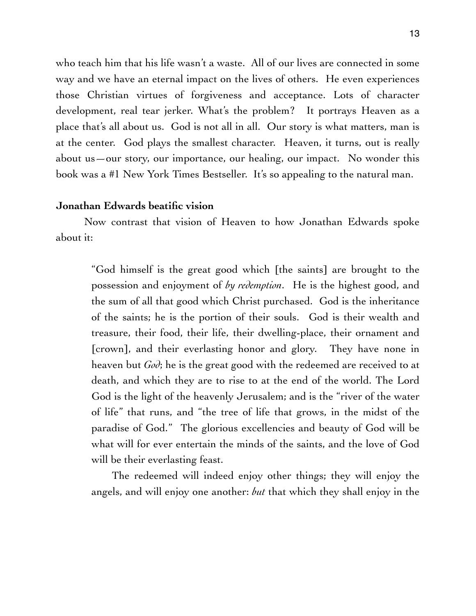who teach him that his life wasn't a waste. All of our lives are connected in some way and we have an eternal impact on the lives of others. He even experiences those Christian virtues of forgiveness and acceptance. Lots of character development, real tear jerker. What's the problem? It portrays Heaven as a place that's all about us. God is not all in all. Our story is what matters, man is at the center. God plays the smallest character. Heaven, it turns, out is really about us—our story, our importance, our healing, our impact. No wonder this book was a #1 New York Times Bestseller. It's so appealing to the natural man.

### **Jonathan Edwards beatific vision**

Now contrast that vision of Heaven to how Jonathan Edwards spoke about it:

"God himself is the great good which [the saints] are brought to the possession and enjoyment of *by redemption*. He is the highest good, and the sum of all that good which Christ purchased. God is the inheritance of the saints; he is the portion of their souls. God is their wealth and treasure, their food, their life, their dwelling-place, their ornament and [crown], and their everlasting honor and glory. They have none in heaven but *God*; he is the great good with the redeemed are received to at death, and which they are to rise to at the end of the world. The Lord God is the light of the heavenly Jerusalem; and is the "river of the water of life" that runs, and "the tree of life that grows, in the midst of the paradise of God." The glorious excellencies and beauty of God will be what will for ever entertain the minds of the saints, and the love of God will be their everlasting feast.

The redeemed will indeed enjoy other things; they will enjoy the angels, and will enjoy one another: *but* that which they shall enjoy in the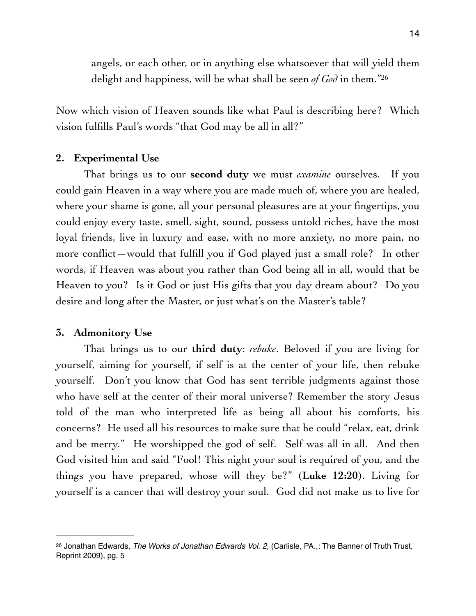<span id="page-13-1"></span>angels, or each other, or in anything else whatsoever that will yield them delight and happiness, will be what shall be seen *of God* in them.["26](#page-13-0)

Now which vision of Heaven sounds like what Paul is describing here? Which vision fulfills Paul's words "that God may be all in all?"

### **2. Experimental Use**

That brings us to our **second duty** we must *examine* ourselves. If you could gain Heaven in a way where you are made much of, where you are healed, where your shame is gone, all your personal pleasures are at your fingertips, you could enjoy every taste, smell, sight, sound, possess untold riches, have the most loyal friends, live in luxury and ease, with no more anxiety, no more pain, no more conflict—would that fulfill you if God played just a small role? In other words, if Heaven was about you rather than God being all in all, would that be Heaven to you? Is it God or just His gifts that you day dream about? Do you desire and long after the Master, or just what's on the Master's table?

### **3. Admonitory Use**

That brings us to our **third duty**: *rebuke*. Beloved if you are living for yourself, aiming for yourself, if self is at the center of your life, then rebuke yourself. Don't you know that God has sent terrible judgments against those who have self at the center of their moral universe? Remember the story Jesus told of the man who interpreted life as being all about his comforts, his concerns? He used all his resources to make sure that he could "relax, eat, drink and be merry." He worshipped the god of self. Self was all in all. And then God visited him and said "Fool! This night your soul is required of you, and the things you have prepared, whose will they be?" (**Luke 12:20**). Living for yourself is a cancer that will destroy your soul. God did not make us to live for

<span id="page-13-0"></span><sup>&</sup>lt;sup>[26](#page-13-1)</sup> Jonathan Edwards, *The Works of Jonathan Edwards Vol. 2,* (Carlisle, PA.,: The Banner of Truth Trust, Reprint 2009), pg. 5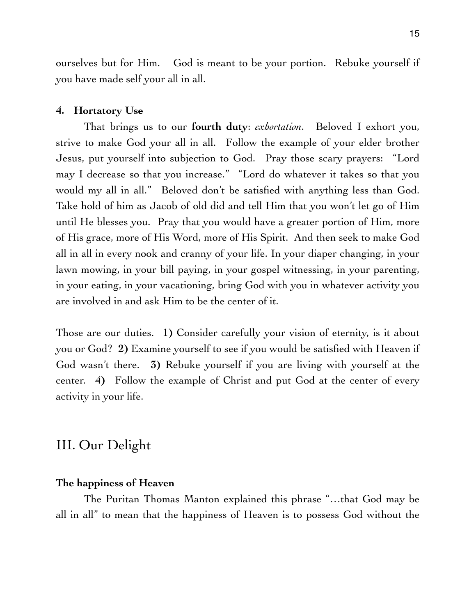ourselves but for Him. God is meant to be your portion. Rebuke yourself if you have made self your all in all.

#### **4. Hortatory Use**

That brings us to our **fourth duty**: *exhortation*. Beloved I exhort you, strive to make God your all in all. Follow the example of your elder brother Jesus, put yourself into subjection to God. Pray those scary prayers: "Lord may I decrease so that you increase." "Lord do whatever it takes so that you would my all in all." Beloved don't be satisfied with anything less than God. Take hold of him as Jacob of old did and tell Him that you won't let go of Him until He blesses you. Pray that you would have a greater portion of Him, more of His grace, more of His Word, more of His Spirit. And then seek to make God all in all in every nook and cranny of your life. In your diaper changing, in your lawn mowing, in your bill paying, in your gospel witnessing, in your parenting, in your eating, in your vacationing, bring God with you in whatever activity you are involved in and ask Him to be the center of it.

Those are our duties. **1)** Consider carefully your vision of eternity, is it about you or God? **2)** Examine yourself to see if you would be satisfied with Heaven if God wasn't there. **3)** Rebuke yourself if you are living with yourself at the center. **4)** Follow the example of Christ and put God at the center of every activity in your life.

### III. Our Delight

### **The happiness of Heaven**

The Puritan Thomas Manton explained this phrase "…that God may be all in all" to mean that the happiness of Heaven is to possess God without the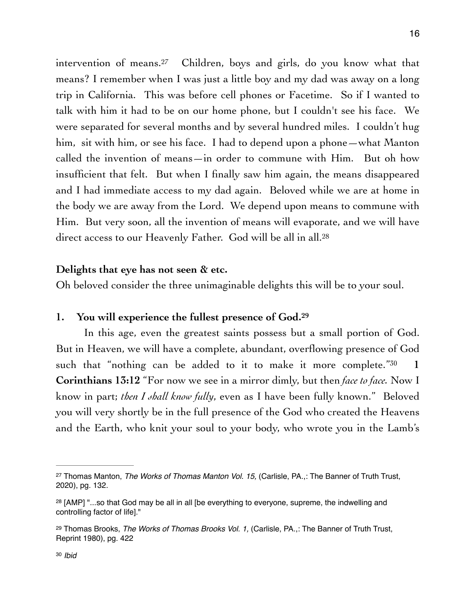<span id="page-15-4"></span>interventionof means.<sup>[27](#page-15-0)</sup> Children, boys and girls, do you know what that means? I remember when I was just a little boy and my dad was away on a long trip in California. This was before cell phones or Facetime. So if I wanted to talk with him it had to be on our home phone, but I couldn't see his face. We were separated for several months and by several hundred miles. I couldn't hug him, sit with him, or see his face. I had to depend upon a phone—what Manton called the invention of means—in order to commune with Him. But oh how insufficient that felt. But when I finally saw him again, the means disappeared and I had immediate access to my dad again. Beloved while we are at home in the body we are away from the Lord. We depend upon means to commune with Him. But very soon, all the invention of means will evaporate, and we will have direct access to our Heavenly Father. God will be all in all.<sup>28</sup>

### <span id="page-15-5"></span>**Delights that eye has not seen & etc.**

Oh beloved consider the three unimaginable delights this will be to your soul.

### <span id="page-15-6"></span>**1. You will experience the fullest presence of God. [29](#page-15-2)**

<span id="page-15-7"></span>In this age, even the greatest saints possess but a small portion of God. But in Heaven, we will have a complete, abundant, overflowing presence of God such that "nothing can be added to it to make it more complete."<sup>30</sup> 1 **Corinthians 13:12** "For now we see in a mirror dimly, but then *face to face.* Now I know in part; *then I shall know fully*, even as I have been fully known." Beloved you will very shortly be in the full presence of the God who created the Heavens and the Earth, who knit your soul to your body, who wrote you in the Lamb's

<span id="page-15-0"></span><sup>&</sup>lt;sup>[27](#page-15-4)</sup> Thomas Manton, *The Works of Thomas Manton Vol. 15*, (Carlisle, PA.,: The Banner of Truth Trust, 2020), pg. 132.

<span id="page-15-1"></span> $28$  [AMP] "...so that God may be all in all [be everything to everyone, supreme, the indwelling and controlling factor of life]."

<span id="page-15-3"></span><span id="page-15-2"></span><sup>&</sup>lt;sup>[29](#page-15-6)</sup> Thomas Brooks, *The Works of Thomas Brooks Vol. 1*, (Carlisle, PA.,: The Banner of Truth Trust, Reprint 1980), pg. 422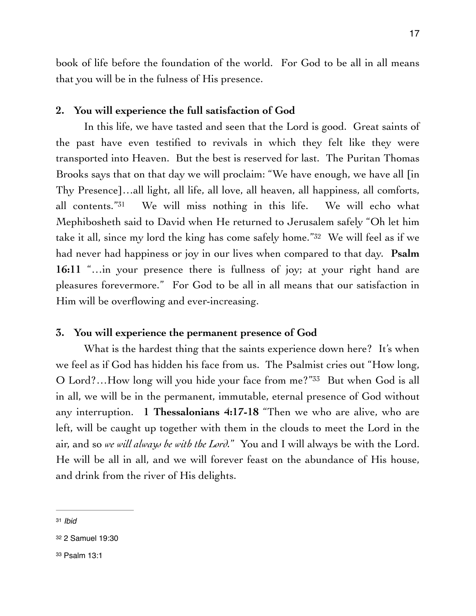book of life before the foundation of the world. For God to be all in all means that you will be in the fulness of His presence.

### **2. You will experience the full satisfaction of God**

<span id="page-16-3"></span>In this life, we have tasted and seen that the Lord is good. Great saints of the past have even testified to revivals in which they felt like they were transported into Heaven. But the best is reserved for last. The Puritan Thomas Brooks says that on that day we will proclaim: "We have enough, we have all [in Thy Presence]…all light, all life, all love, all heaven, all happiness, all comforts, all contents."<sup>[31](#page-16-0)</sup> We will miss nothing in this life. We will echo what Mephibosheth said to David when He returned to Jerusalem safely "Oh let him take it all, since my lord the king has come safely home.["](#page-16-1) $32$  We will feel as if we had never had happiness or joy in our lives when compared to that day. **Psalm 16:11** "…in your presence there is fullness of joy; at your right hand are pleasures forevermore." For God to be all in all means that our satisfaction in Him will be overflowing and ever-increasing.

### <span id="page-16-4"></span>**3. You will experience the permanent presence of God**

<span id="page-16-5"></span>What is the hardest thing that the saints experience down here? It's when we feel as if God has hidden his face from us. The Psalmist cries out "How long, O Lord?...How long will you hide your face from me?"<sup>[33](#page-16-2)</sup> But when God is all in all, we will be in the permanent, immutable, eternal presence of God without any interruption. **1 Thessalonians 4:17-18** "Then we who are alive, who are left, will be caught up together with them in the clouds to meet the Lord in the air, and so *we will always be with the Lord.*" You and I will always be with the Lord. He will be all in all, and we will forever feast on the abundance of His house, and drink from the river of His delights.

<span id="page-16-0"></span>[<sup>31</sup>](#page-16-3) *Ibid*

<span id="page-16-1"></span>[<sup>32</sup>](#page-16-4) 2 Samuel 19:30

<span id="page-16-2"></span>[<sup>33</sup>](#page-16-5) Psalm 13:1